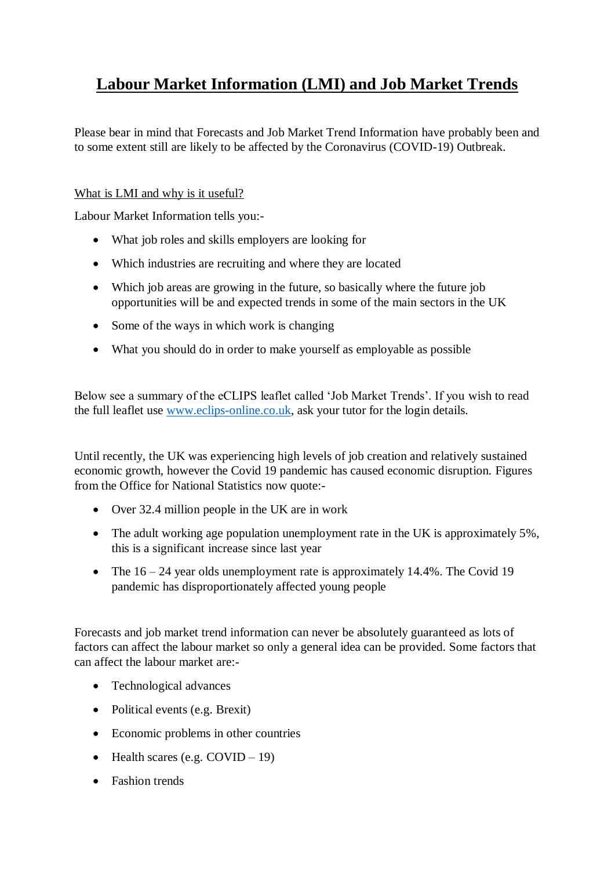# **Labour Market Information (LMI) and Job Market Trends**

Please bear in mind that Forecasts and Job Market Trend Information have probably been and to some extent still are likely to be affected by the Coronavirus (COVID-19) Outbreak.

#### What is LMI and why is it useful?

Labour Market Information tells you:-

- What job roles and skills employers are looking for
- Which industries are recruiting and where they are located
- Which job areas are growing in the future, so basically where the future job opportunities will be and expected trends in some of the main sectors in the UK
- Some of the ways in which work is changing
- What you should do in order to make yourself as employable as possible

Below see a summary of the eCLIPS leaflet called 'Job Market Trends'. If you wish to read the full leaflet use [www.eclips-online.co.uk,](http://www.eclips-online.co.uk/) ask your tutor for the login details.

Until recently, the UK was experiencing high levels of job creation and relatively sustained economic growth, however the Covid 19 pandemic has caused economic disruption. Figures from the Office for National Statistics now quote:-

- Over 32.4 million people in the UK are in work
- The adult working age population unemployment rate in the UK is approximately 5%, this is a significant increase since last year
- The  $16 24$  year olds unemployment rate is approximately 14.4%. The Covid 19 pandemic has disproportionately affected young people

Forecasts and job market trend information can never be absolutely guaranteed as lots of factors can affect the labour market so only a general idea can be provided. Some factors that can affect the labour market are:-

- Technological advances
- Political events (e.g. Brexit)
- Economic problems in other countries
- $\bullet$  Health scares (e.g. COVID 19)
- Fashion trends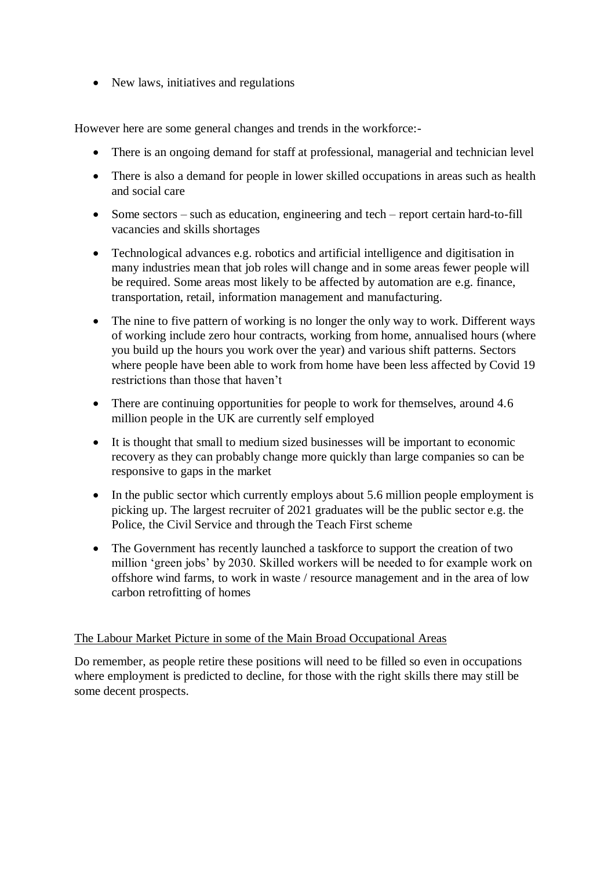• New laws, initiatives and regulations

However here are some general changes and trends in the workforce:-

- There is an ongoing demand for staff at professional, managerial and technician level
- There is also a demand for people in lower skilled occupations in areas such as health and social care
- Some sectors such as education, engineering and tech report certain hard-to-fill vacancies and skills shortages
- Technological advances e.g. robotics and artificial intelligence and digitisation in many industries mean that job roles will change and in some areas fewer people will be required. Some areas most likely to be affected by automation are e.g. finance, transportation, retail, information management and manufacturing.
- The nine to five pattern of working is no longer the only way to work. Different ways of working include zero hour contracts, working from home, annualised hours (where you build up the hours you work over the year) and various shift patterns. Sectors where people have been able to work from home have been less affected by Covid 19 restrictions than those that haven't
- There are continuing opportunities for people to work for themselves, around 4.6 million people in the UK are currently self employed
- It is thought that small to medium sized businesses will be important to economic recovery as they can probably change more quickly than large companies so can be responsive to gaps in the market
- In the public sector which currently employs about 5.6 million people employment is picking up. The largest recruiter of 2021 graduates will be the public sector e.g. the Police, the Civil Service and through the Teach First scheme
- The Government has recently launched a taskforce to support the creation of two million 'green jobs' by 2030. Skilled workers will be needed to for example work on offshore wind farms, to work in waste / resource management and in the area of low carbon retrofitting of homes

## The Labour Market Picture in some of the Main Broad Occupational Areas

Do remember, as people retire these positions will need to be filled so even in occupations where employment is predicted to decline, for those with the right skills there may still be some decent prospects.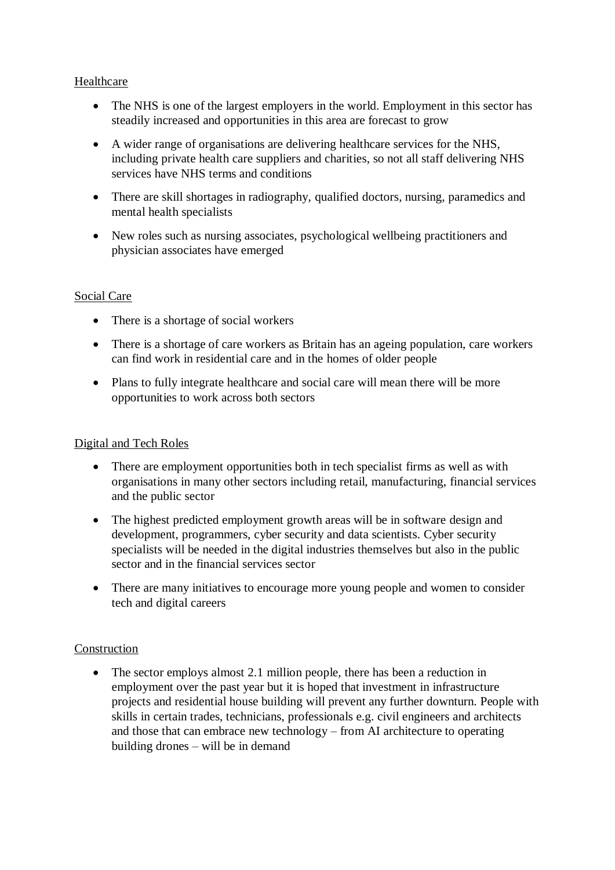#### Healthcare

- The NHS is one of the largest employers in the world. Employment in this sector has steadily increased and opportunities in this area are forecast to grow
- A wider range of organisations are delivering healthcare services for the NHS, including private health care suppliers and charities, so not all staff delivering NHS services have NHS terms and conditions
- There are skill shortages in radiography, qualified doctors, nursing, paramedics and mental health specialists
- New roles such as nursing associates, psychological wellbeing practitioners and physician associates have emerged

#### Social Care

- There is a shortage of social workers
- There is a shortage of care workers as Britain has an ageing population, care workers can find work in residential care and in the homes of older people
- Plans to fully integrate healthcare and social care will mean there will be more opportunities to work across both sectors

## Digital and Tech Roles

- There are employment opportunities both in tech specialist firms as well as with organisations in many other sectors including retail, manufacturing, financial services and the public sector
- The highest predicted employment growth areas will be in software design and development, programmers, cyber security and data scientists. Cyber security specialists will be needed in the digital industries themselves but also in the public sector and in the financial services sector
- There are many initiatives to encourage more young people and women to consider tech and digital careers

#### Construction

• The sector employs almost 2.1 million people, there has been a reduction in employment over the past year but it is hoped that investment in infrastructure projects and residential house building will prevent any further downturn. People with skills in certain trades, technicians, professionals e.g. civil engineers and architects and those that can embrace new technology – from AI architecture to operating building drones – will be in demand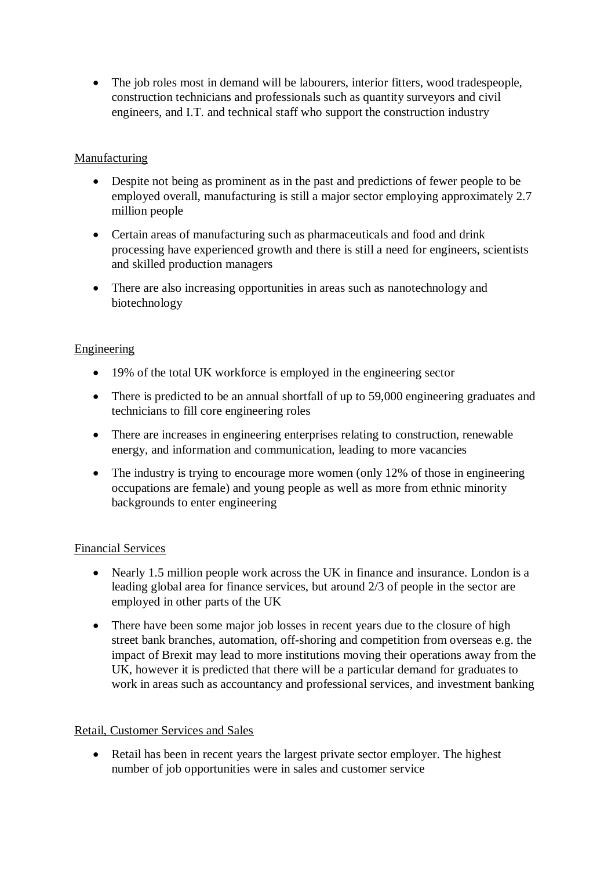• The job roles most in demand will be labourers, interior fitters, wood tradespeople, construction technicians and professionals such as quantity surveyors and civil engineers, and I.T. and technical staff who support the construction industry

## Manufacturing

- Despite not being as prominent as in the past and predictions of fewer people to be employed overall, manufacturing is still a major sector employing approximately 2.7 million people
- Certain areas of manufacturing such as pharmaceuticals and food and drink processing have experienced growth and there is still a need for engineers, scientists and skilled production managers
- There are also increasing opportunities in areas such as nanotechnology and biotechnology

# Engineering

- 19% of the total UK workforce is employed in the engineering sector
- There is predicted to be an annual shortfall of up to 59,000 engineering graduates and technicians to fill core engineering roles
- There are increases in engineering enterprises relating to construction, renewable energy, and information and communication, leading to more vacancies
- The industry is trying to encourage more women (only 12% of those in engineering occupations are female) and young people as well as more from ethnic minority backgrounds to enter engineering

## Financial Services

- Nearly 1.5 million people work across the UK in finance and insurance. London is a leading global area for finance services, but around 2/3 of people in the sector are employed in other parts of the UK
- There have been some major job losses in recent years due to the closure of high street bank branches, automation, off-shoring and competition from overseas e.g. the impact of Brexit may lead to more institutions moving their operations away from the UK, however it is predicted that there will be a particular demand for graduates to work in areas such as accountancy and professional services, and investment banking

## Retail, Customer Services and Sales

• Retail has been in recent years the largest private sector employer. The highest number of job opportunities were in sales and customer service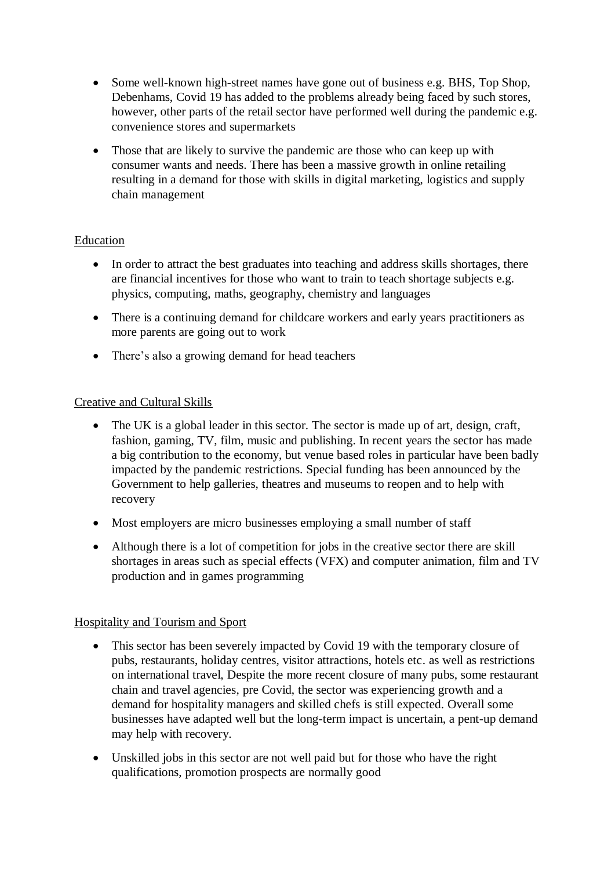- Some well-known high-street names have gone out of business e.g. BHS, Top Shop, Debenhams, Covid 19 has added to the problems already being faced by such stores, however, other parts of the retail sector have performed well during the pandemic e.g. convenience stores and supermarkets
- Those that are likely to survive the pandemic are those who can keep up with consumer wants and needs. There has been a massive growth in online retailing resulting in a demand for those with skills in digital marketing, logistics and supply chain management

## Education

- In order to attract the best graduates into teaching and address skills shortages, there are financial incentives for those who want to train to teach shortage subjects e.g. physics, computing, maths, geography, chemistry and languages
- There is a continuing demand for childcare workers and early years practitioners as more parents are going out to work
- There's also a growing demand for head teachers

## Creative and Cultural Skills

- The UK is a global leader in this sector. The sector is made up of art, design, craft, fashion, gaming, TV, film, music and publishing. In recent years the sector has made a big contribution to the economy, but venue based roles in particular have been badly impacted by the pandemic restrictions. Special funding has been announced by the Government to help galleries, theatres and museums to reopen and to help with recovery
- Most employers are micro businesses employing a small number of staff
- Although there is a lot of competition for jobs in the creative sector there are skill shortages in areas such as special effects (VFX) and computer animation, film and TV production and in games programming

## Hospitality and Tourism and Sport

- This sector has been severely impacted by Covid 19 with the temporary closure of pubs, restaurants, holiday centres, visitor attractions, hotels etc. as well as restrictions on international travel, Despite the more recent closure of many pubs, some restaurant chain and travel agencies, pre Covid, the sector was experiencing growth and a demand for hospitality managers and skilled chefs is still expected. Overall some businesses have adapted well but the long-term impact is uncertain, a pent-up demand may help with recovery.
- Unskilled jobs in this sector are not well paid but for those who have the right qualifications, promotion prospects are normally good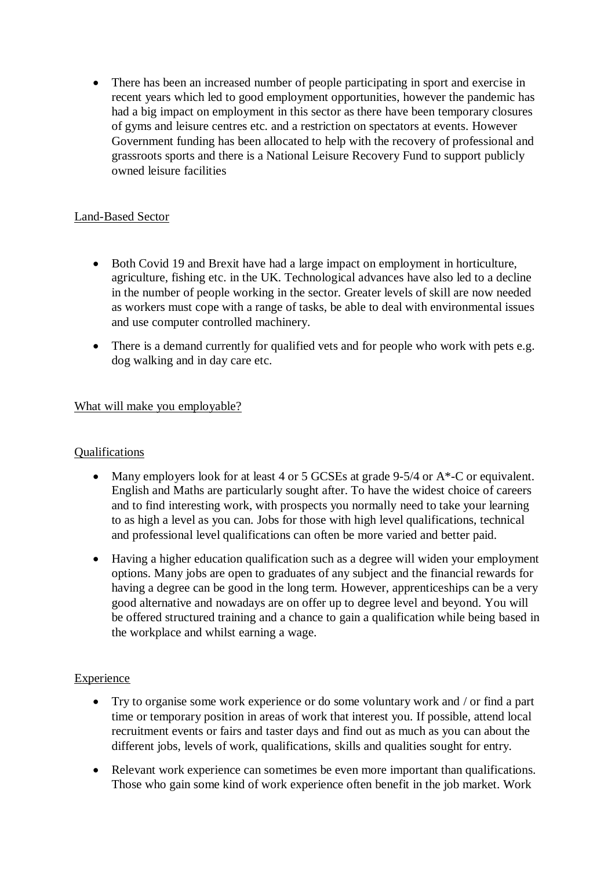There has been an increased number of people participating in sport and exercise in recent years which led to good employment opportunities, however the pandemic has had a big impact on employment in this sector as there have been temporary closures of gyms and leisure centres etc. and a restriction on spectators at events. However Government funding has been allocated to help with the recovery of professional and grassroots sports and there is a National Leisure Recovery Fund to support publicly owned leisure facilities

## Land-Based Sector

- Both Covid 19 and Brexit have had a large impact on employment in horticulture, agriculture, fishing etc. in the UK. Technological advances have also led to a decline in the number of people working in the sector. Greater levels of skill are now needed as workers must cope with a range of tasks, be able to deal with environmental issues and use computer controlled machinery.
- There is a demand currently for qualified vets and for people who work with pets e.g. dog walking and in day care etc.

# What will make you employable?

## Qualifications

- Many employers look for at least 4 or 5 GCSEs at grade 9-5/4 or A\*-C or equivalent. English and Maths are particularly sought after. To have the widest choice of careers and to find interesting work, with prospects you normally need to take your learning to as high a level as you can. Jobs for those with high level qualifications, technical and professional level qualifications can often be more varied and better paid.
- Having a higher education qualification such as a degree will widen your employment options. Many jobs are open to graduates of any subject and the financial rewards for having a degree can be good in the long term. However, apprenticeships can be a very good alternative and nowadays are on offer up to degree level and beyond. You will be offered structured training and a chance to gain a qualification while being based in the workplace and whilst earning a wage.

# **Experience**

- Try to organise some work experience or do some voluntary work and / or find a part time or temporary position in areas of work that interest you. If possible, attend local recruitment events or fairs and taster days and find out as much as you can about the different jobs, levels of work, qualifications, skills and qualities sought for entry.
- Relevant work experience can sometimes be even more important than qualifications. Those who gain some kind of work experience often benefit in the job market. Work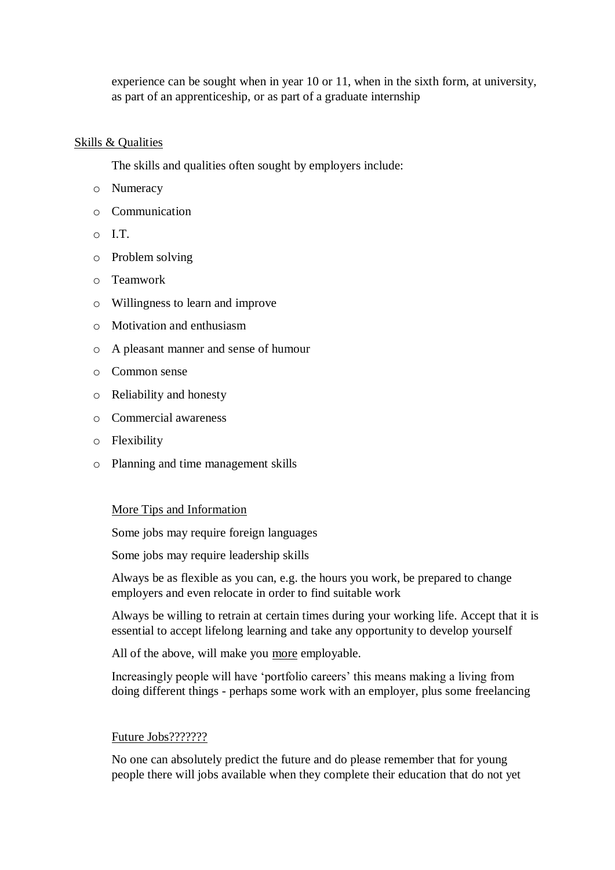experience can be sought when in year 10 or 11, when in the sixth form, at university, as part of an apprenticeship, or as part of a graduate internship

#### Skills & Qualities

The skills and qualities often sought by employers include:

- o Numeracy
- o Communication
- $\overline{I}$  T.
- o Problem solving
- o Teamwork
- o Willingness to learn and improve
- o Motivation and enthusiasm
- o A pleasant manner and sense of humour
- o Common sense
- o Reliability and honesty
- o Commercial awareness
- o Flexibility
- o Planning and time management skills

#### More Tips and Information

Some jobs may require foreign languages

Some jobs may require leadership skills

Always be as flexible as you can, e.g. the hours you work, be prepared to change employers and even relocate in order to find suitable work

Always be willing to retrain at certain times during your working life. Accept that it is essential to accept lifelong learning and take any opportunity to develop yourself

All of the above, will make you more employable.

Increasingly people will have 'portfolio careers' this means making a living from doing different things - perhaps some work with an employer, plus some freelancing

#### Future Jobs???????

No one can absolutely predict the future and do please remember that for young people there will jobs available when they complete their education that do not yet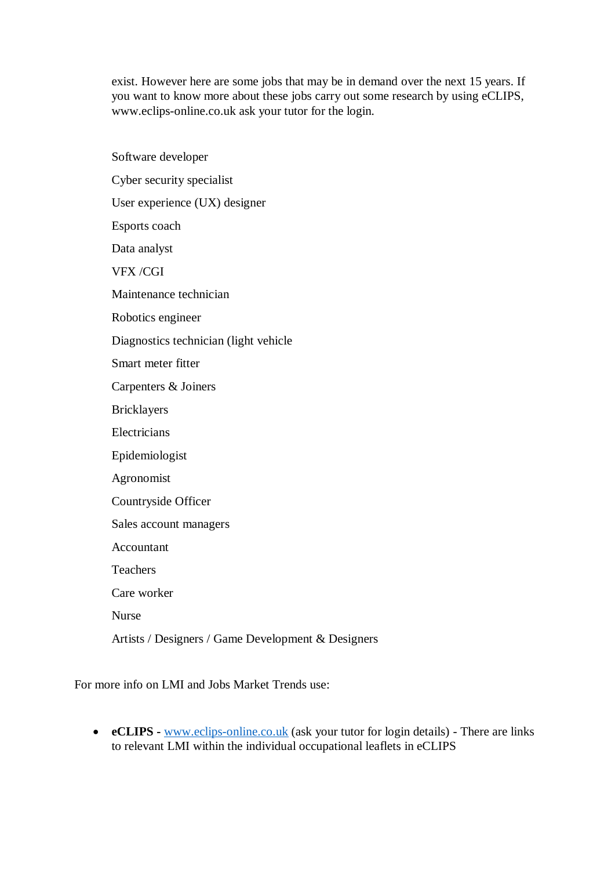exist. However here are some jobs that may be in demand over the next 15 years. If you want to know more about these jobs carry out some research by using eCLIPS, www.eclips-online.co.uk ask your tutor for the login.

Software developer Cyber security specialist User experience (UX) designer Esports coach Data analyst VFX /CGI Maintenance technician Robotics engineer Diagnostics technician (light vehicle Smart meter fitter Carpenters & Joiners Bricklayers Electricians Epidemiologist Agronomist Countryside Officer Sales account managers Accountant Teachers Care worker Nurse Artists / Designers / Game Development & Designers

For more info on LMI and Jobs Market Trends use:

 **eCLIPS -** [www.eclips-online.co.uk](http://www.eclips-online.co.uk/) (ask your tutor for login details) - There are links to relevant LMI within the individual occupational leaflets in eCLIPS